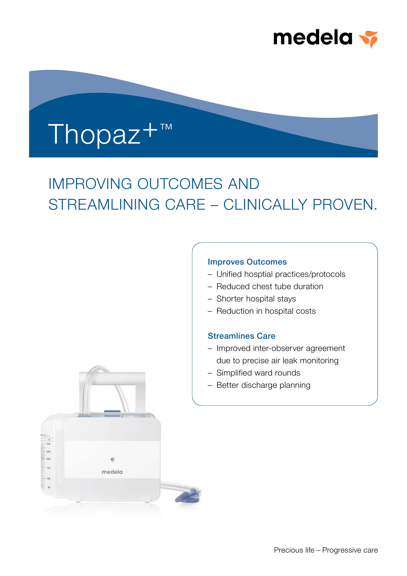

# Thopaz+™

## IMPROVING OUTCOMES AND STREAMLINING CARE – CLINICALLY PROVEN.

#### Improves Outcomes

- Unified hosptial practices/protocols
- Reduced chest tube duration
- Shorter hospital stays
- Reduction in hospital costs

#### Streamlines Care

- Improved inter-observer agreement due to precise air leak monitoring
- Simplified ward rounds
- Better discharge planning